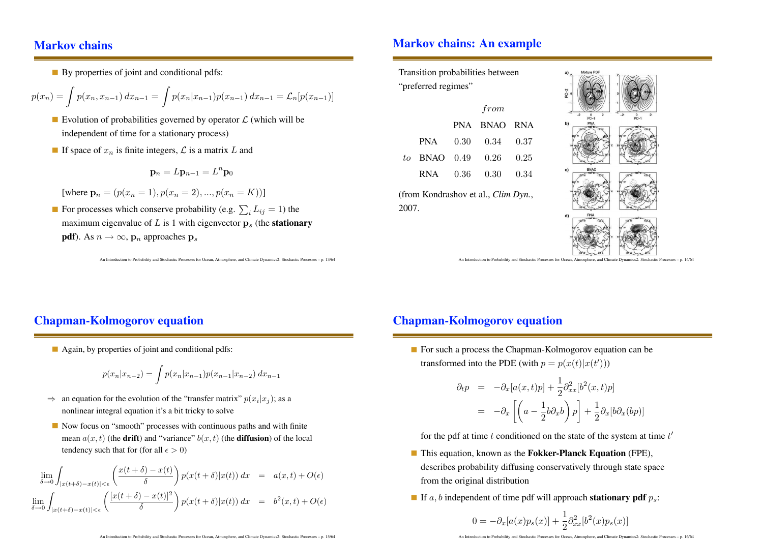#### Markov chains

By properties of joint and conditional pdfs:

$$
p(x_n) = \int p(x_n, x_{n-1}) dx_{n-1} = \int p(x_n | x_{n-1}) p(x_{n-1}) dx_{n-1} = \mathcal{L}_n[p(x_{n-1})]
$$

- Evolution of probabilities governed by operator  $\mathcal L$  (which will be independent of time for <sup>a</sup> stationary process)
- If space of  $x_n$  is finite integers,  $\mathcal L$  is a matrix L and

$$
\mathbf{p}_n = L\mathbf{p}_{n-1} = L^n \mathbf{p}_0
$$

[where  $\mathbf{p}_n = (p(x_n = 1), p(x_n = 2), ..., p(x_n = K))$ ]

For processes which conserve probability (e.g.  $\sum_i L_{ij} = 1$ ) the maximum eigenvalue of L is 1 with eigenvector  $\mathbf{p}_s$  (the **stationary pdf**). As  $n \to \infty$ ,  $\mathbf{p}_n$  approaches  $\mathbf{p}_s$ 

An Introduction to Probability and Stochastic Processes for Ocean, Atmosphere, and Climate Dynamics2: Stochastic Processes – p. 13/64

#### Markov chains: An example

Transition probabilities between "preferred regimes"

|                |          | from               |      |
|----------------|----------|--------------------|------|
|                |          | PNA BNAO RNA       |      |
|                |          | PNA 0.30 0.34 0.37 |      |
| to BNAO $0.49$ |          | 0.26               | 0.25 |
| RNA 11         | $0.36\,$ | $0.30\,$           | 0.34 |

(from Kondrashov et al., Clim Dyn., 2007.



An Introduction to Probability and Stochastic Processes for Ocean, Atmosphere, and Climate Dynamics2: Stochastic Processes – p. 14/64

# Chapman-Kolmogorov equation

Again, by properties of joint and conditional pdfs:

$$
p(x_n|x_{n-2}) = \int p(x_n|x_{n-1})p(x_{n-1}|x_{n-2}) dx_{n-1}
$$

- $\Rightarrow$  an equation for the evolution of the "transfer matrix"  $p(x_i|x_j)$ ; as a nonlinear integral equation it's <sup>a</sup> bit tricky to solve
- Now focus on "smooth" processes with continuous paths and with finite mean  $a(x,t)$  (the **drift**) and "variance"  $b(x,t)$  (the **diffusion**) of the local tendency such that for (for all  $\epsilon > 0$ )

$$
\lim_{\delta \to 0} \int_{|x(t+\delta)-x(t)| < \epsilon} \left( \frac{x(t+\delta)-x(t)}{\delta} \right) p(x(t+\delta)|x(t)) dx = a(x,t) + O(\epsilon)
$$
  

$$
\lim_{\delta \to 0} \int_{|x(t+\delta)-x(t)| < \epsilon} \left( \frac{[x(t+\delta)-x(t)]^2}{\delta} \right) p(x(t+\delta)|x(t)) dx = b^2(x,t) + O(\epsilon)
$$

## Chapman-Kolmogorov equation

For such <sup>a</sup> process the Chapman-Kolmogorov equation can be transformed into the PDE (with  $p = p(x(t)|x(t'))$ )

$$
\partial_t p = -\partial_x [a(x,t)p] + \frac{1}{2} \partial_{xx}^2 [b^2(x,t)p]
$$
  
=  $-\partial_x \left[ \left( a - \frac{1}{2} b \partial_x b \right) p \right] + \frac{1}{2} \partial_x [b \partial_x (bp)]$ 

for the pdf at time t conditioned on the state of the system at time  $t'$ 

- This equation, known as the **Fokker-Planck Equation** (FPE), describes probability diffusing conservatively through state space from the original distribution
- If  $a, b$  independent of time pdf will approach **stationary pdf**  $p_s$ :

$$
0 = -\partial_x[a(x)p_s(x)] + \frac{1}{2}\partial_{xx}^2[b^2(x)p_s(x)]
$$

An Introduction to Probability and Stochastic Processes for Ocean, Atmosphere, and Climate Dynamics2: Stochastic Processes – p. 16/64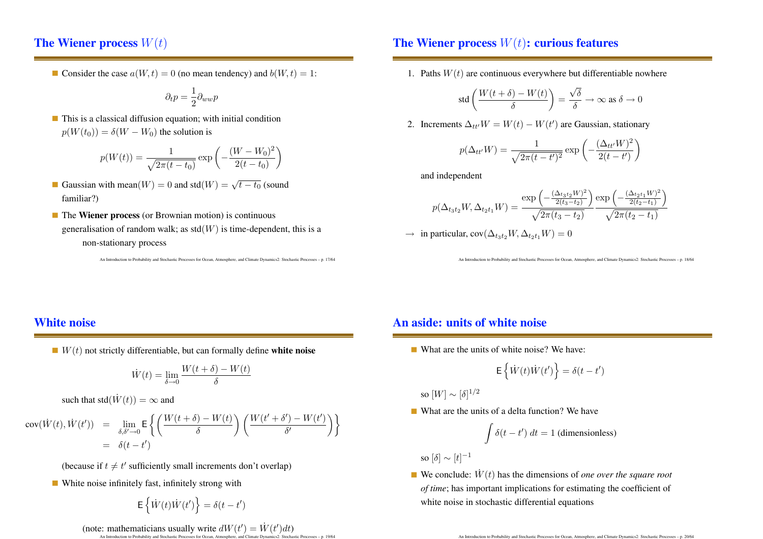# The Wiener process  $W(t)$

Consider the case  $a(W, t) = 0$  (no mean tendency) and  $b(W, t) = 1$ :

$$
\partial_t p = \frac{1}{2} \partial_{ww} p
$$

This is <sup>a</sup> classical diffusion equation; with initial condition  $p(W(t_0)) = \delta(W - W_0)$  the solution is

$$
p(W(t)) = \frac{1}{\sqrt{2\pi(t - t_0)}} \exp\left(-\frac{(W - W_0)^2}{2(t - t_0)}\right)
$$

- Gaussian with mean $(W) = 0$  and std $(W) = \sqrt{t t_0}$  (sound familiar?)
- The Wiener process (or Brownian motion) is continuous generalisation of random walk; as  $std(W)$  is time-dependent, this is a non-stationary process

An Introduction to Probability and Stochastic Processes for Ocean, Atmosphere, and Climate Dynamics2: Stochastic Processes – p. 17/64

#### The Wiener process  $W(t)$ : curious features

1. Paths  $W(t)$  are continuous everywhere but differentiable nowhere

$$
\text{std}\left(\frac{W(t+\delta)-W(t)}{\delta}\right) = \frac{\sqrt{\delta}}{\delta} \to \infty \text{ as } \delta \to 0
$$

2. Increments  $\Delta_{tt'}W = W(t) - W(t')$  are Gaussian, stationary

$$
p(\Delta_{tt'}W) = \frac{1}{\sqrt{2\pi(t-t')^2}} \exp\left(-\frac{(\Delta_{tt'}W)^2}{2(t-t')}\right)
$$

and independent

$$
p(\Delta_{t_3t_2}W,\Delta_{t_2t_1}W) = \frac{\exp\left(-\frac{(\Delta_{t_3t_2}W)^2}{2(t_3-t_2)}\right)}{\sqrt{2\pi(t_3-t_2)}}\frac{\exp\left(-\frac{(\Delta_{t_2t_1}W)^2}{2(t_2-t_1)}\right)}{\sqrt{2\pi(t_2-t_1)}}
$$

 $\rightarrow$  in particular, cov $(\Delta_{t_3t_2}W, \Delta_{t_2t_1}W) = 0$ 

An Introduction to Probability and Stochastic Processes for Ocean, Atmosphere, and Climate Dynamics2: Stochastic Processes – p. 18/64

### White noise

 $W(t)$  not strictly differentiable, but can formally define white noise

$$
\dot{W}(t) = \lim_{\delta \to 0} \frac{W(t+\delta) - W(t)}{\delta}
$$

such that std $(\dot{W}(t)) = \infty$  and

$$
\begin{array}{rcl}\n\text{cov}(\dot{W}(t),\dot{W}(t')) & = & \lim_{\delta,\delta'\to 0} \mathsf{E}\left\{ \left( \frac{W(t+\delta)-W(t)}{\delta} \right) \left( \frac{W(t'+\delta')-W(t')}{\delta'} \right) \right\} \\
& = & \delta(t-t')\n\end{array}
$$

(because if  $t \neq t'$  sufficiently small increments don't overlap)

White noise infinitely fast, infinitely strong with

$$
\mathsf{E}\left\{\dot{W}(t)\dot{W}(t')\right\}=\delta(t-t')
$$

(note: mathematicians usually write  $dW(t') = \dot{W}(t')dt$ )

An Introduction to Probability and Stochastic Processes for Ocean, Atmosphere, and Climate Dynamics2: Stochastic Processes – p. 19/64

#### An aside: units of white noise

What are the units of white noise? We have:

$$
\mathsf{E}\left\{\dot{W}(t)\dot{W}(t')\right\}=\delta(t-t')
$$

so  $[W] \sim [\delta]^{1/2}$ 

What are the units of <sup>a</sup> delta function? We have

$$
\int \delta(t - t') dt = 1 \text{ (dimensionless)}
$$

so  $[\delta] \sim [t]^{-1}$ 

We conclude:  $\dot{W}(t)$  has the dimensions of *one over the square root* of time; has important implications for estimating the coefficient of white noise in stochastic differential equations